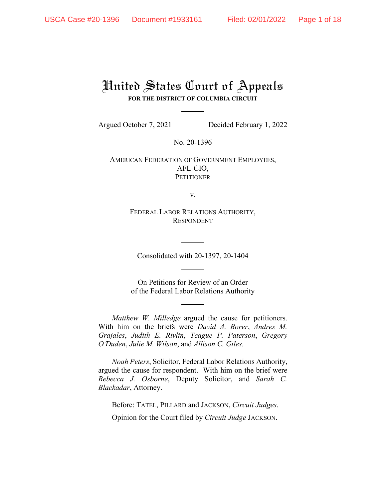# United States Court of Appeals

**FOR THE DISTRICT OF COLUMBIA CIRCUIT**

Argued October 7, 2021 Decided February 1, 2022

No. 20-1396

AMERICAN FEDERATION OF GOVERNMENT EMPLOYEES, AFL-CIO, **PETITIONER** 

v.

FEDERAL LABOR RELATIONS AUTHORITY, RESPONDENT

Consolidated with 20-1397, 20-1404

On Petitions for Review of an Order of the Federal Labor Relations Authority

*Matthew W. Milledge* argued the cause for petitioners. With him on the briefs were *David A. Borer*, *Andres M. Grajales*, *Judith E. Rivlin*, *Teague P. Paterson*, *Gregory O*=*Duden*, *Julie M. Wilson*, and *Allison C. Giles.*

*Noah Peters*, Solicitor, Federal Labor Relations Authority, argued the cause for respondent. With him on the brief were *Rebecca J. Osborne*, Deputy Solicitor, and *Sarah C. Blackadar*, Attorney.

Before: TATEL, PILLARD and JACKSON, *Circuit Judges*.

Opinion for the Court filed by *Circuit Judge* JACKSON.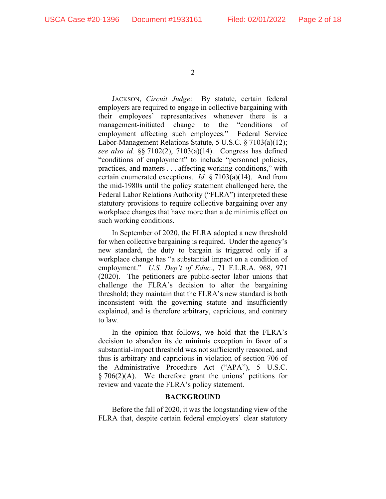JACKSON, *Circuit Judge*: By statute, certain federal employers are required to engage in collective bargaining with their employees' representatives whenever there is a management-initiated change to the "conditions of employment affecting such employees." Federal Service Labor-Management Relations Statute, 5 U.S.C. § 7103(a)(12); *see also id.* §§ 7102(2), 7103(a)(14). Congress has defined "conditions of employment" to include "personnel policies, practices, and matters . . . affecting working conditions," with certain enumerated exceptions. *Id.* § 7103(a)(14). And from the mid-1980s until the policy statement challenged here, the Federal Labor Relations Authority ("FLRA") interpreted these statutory provisions to require collective bargaining over any workplace changes that have more than a de minimis effect on such working conditions.

In September of 2020, the FLRA adopted a new threshold for when collective bargaining is required. Under the agency's new standard, the duty to bargain is triggered only if a workplace change has "a substantial impact on a condition of employment." *U.S. Dep't of Educ.*, 71 F.L.R.A. 968, 971 (2020). The petitioners are public-sector labor unions that challenge the FLRA's decision to alter the bargaining threshold; they maintain that the FLRA's new standard is both inconsistent with the governing statute and insufficiently explained, and is therefore arbitrary, capricious, and contrary to law.

In the opinion that follows, we hold that the FLRA's decision to abandon its de minimis exception in favor of a substantial-impact threshold was not sufficiently reasoned, and thus is arbitrary and capricious in violation of section 706 of the Administrative Procedure Act ("APA"), 5 U.S.C.  $§ 706(2)(A)$ . We therefore grant the unions' petitions for review and vacate the FLRA's policy statement.

## **BACKGROUND**

Before the fall of 2020, it was the longstanding view of the FLRA that, despite certain federal employers' clear statutory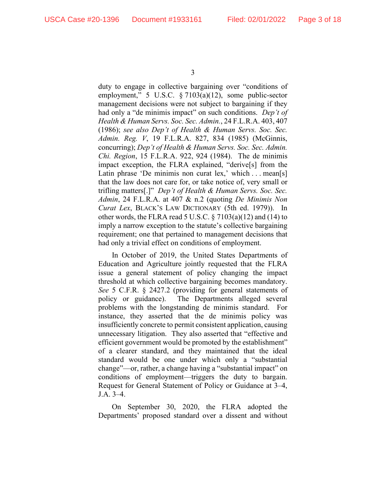duty to engage in collective bargaining over "conditions of employment," 5 U.S.C. § 7103(a)(12), some public-sector management decisions were not subject to bargaining if they had only a "de minimis impact" on such conditions. *Dep't of Health & Human Servs. Soc. Sec. Admin.*, 24 F.L.R.A. 403, 407 (1986); *see also Dep't of Health & Human Servs. Soc. Sec. Admin. Reg. V*, 19 F.L.R.A. 827, 834 (1985) (McGinnis, concurring); *Dep't of Health & Human Servs. Soc. Sec. Admin. Chi. Region*, 15 F.L.R.A. 922, 924 (1984). The de minimis impact exception, the FLRA explained, "derive[s] from the Latin phrase 'De minimis non curat lex,' which . . . mean[s] that the law does not care for, or take notice of, very small or trifling matters[.]" *Dep't of Health & Human Servs. Soc. Sec. Admin*, 24 F.L.R.A. at 407 & n.2 (quoting *De Minimis Non Curat Lex*, BLACK'S LAW DICTIONARY (5th ed. 1979)). In other words, the FLRA read 5 U.S.C. § 7103(a)(12) and (14) to imply a narrow exception to the statute's collective bargaining requirement; one that pertained to management decisions that had only a trivial effect on conditions of employment.

In October of 2019, the United States Departments of Education and Agriculture jointly requested that the FLRA issue a general statement of policy changing the impact threshold at which collective bargaining becomes mandatory. *See* 5 C.F.R. § 2427.2 (providing for general statements of policy or guidance). The Departments alleged several problems with the longstanding de minimis standard. For instance, they asserted that the de minimis policy was insufficiently concrete to permit consistent application, causing unnecessary litigation. They also asserted that "effective and efficient government would be promoted by the establishment" of a clearer standard, and they maintained that the ideal standard would be one under which only a "substantial change"—or, rather, a change having a "substantial impact" on conditions of employment—triggers the duty to bargain. Request for General Statement of Policy or Guidance at 3–4, J.A. 3–4.

On September 30, 2020, the FLRA adopted the Departments' proposed standard over a dissent and without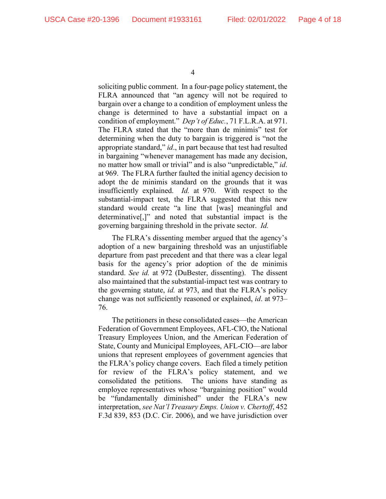soliciting public comment. In a four-page policy statement, the FLRA announced that "an agency will not be required to bargain over a change to a condition of employment unless the change is determined to have a substantial impact on a condition of employment." *Dep't of Educ.*, 71 F.L.R.A. at 971. The FLRA stated that the "more than de minimis" test for determining when the duty to bargain is triggered is "not the appropriate standard," *id*., in part because that test had resulted in bargaining "whenever management has made any decision, no matter how small or trivial" and is also "unpredictable," *id*. at 969. The FLRA further faulted the initial agency decision to adopt the de minimis standard on the grounds that it was insufficiently explained. *Id.* at 970. With respect to the substantial-impact test, the FLRA suggested that this new standard would create "a line that [was] meaningful and determinative[,]" and noted that substantial impact is the governing bargaining threshold in the private sector. *Id.*

The FLRA's dissenting member argued that the agency's adoption of a new bargaining threshold was an unjustifiable departure from past precedent and that there was a clear legal basis for the agency's prior adoption of the de minimis standard. *See id.* at 972 (DuBester, dissenting). The dissent also maintained that the substantial-impact test was contrary to the governing statute, *id.* at 973, and that the FLRA's policy change was not sufficiently reasoned or explained, *id*. at 973– 76.

The petitioners in these consolidated cases—the American Federation of Government Employees, AFL-CIO, the National Treasury Employees Union, and the American Federation of State, County and Municipal Employees, AFL-CIO—are labor unions that represent employees of government agencies that the FLRA's policy change covers. Each filed a timely petition for review of the FLRA's policy statement, and we consolidated the petitions. The unions have standing as employee representatives whose "bargaining position" would be "fundamentally diminished" under the FLRA's new interpretation, *see Nat'l Treasury Emps. Union v. Chertoff*, 452 F.3d 839, 853 (D.C. Cir. 2006), and we have jurisdiction over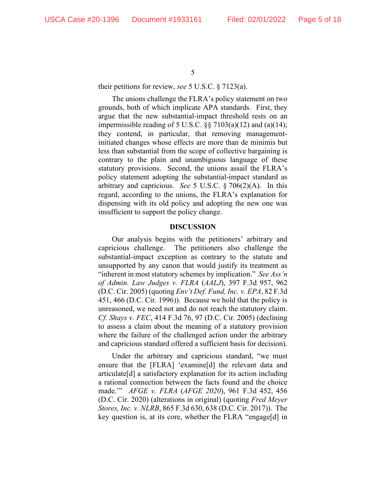their petitions for review, *see* 5 U.S.C. § 7123(a).

The unions challenge the FLRA's policy statement on two grounds, both of which implicate APA standards. First, they argue that the new substantial-impact threshold rests on an impermissible reading of 5 U.S.C. §§ 7103(a)(12) and (a)(14); they contend, in particular, that removing managementinitiated changes whose effects are more than de minimis but less than substantial from the scope of collective bargaining is contrary to the plain and unambiguous language of these statutory provisions. Second, the unions assail the FLRA's policy statement adopting the substantial-impact standard as arbitrary and capricious. *See* 5 U.S.C. § 706(2)(A). In this regard, according to the unions, the FLRA's explanation for dispensing with its old policy and adopting the new one was insufficient to support the policy change.

## **DISCUSSION**

Our analysis begins with the petitioners' arbitrary and capricious challenge. The petitioners also challenge the substantial-impact exception as contrary to the statute and unsupported by any canon that would justify its treatment as "inherent in most statutory schemes by implication." *See Ass'n of Admin. Law Judges v. FLRA* (*AALJ*), 397 F.3d 957, 962 (D.C. Cir. 2005) (quoting *Env't Def. Fund, Inc. v. EPA*, 82 F.3d 451, 466 (D.C. Cir. 1996)). Because we hold that the policy is unreasoned, we need not and do not reach the statutory claim. *Cf. Shays v. FEC*, 414 F.3d 76, 97 (D.C. Cir. 2005) (declining to assess a claim about the meaning of a statutory provision where the failure of the challenged action under the arbitrary and capricious standard offered a sufficient basis for decision).

Under the arbitrary and capricious standard, "we must ensure that the [FLRA] 'examine[d] the relevant data and articulate[d] a satisfactory explanation for its action including a rational connection between the facts found and the choice made.'" *AFGE v. FLRA* (*AFGE 2020*), 961 F.3d 452, 456 (D.C. Cir. 2020) (alterations in original) (quoting *Fred Meyer Stores, Inc. v. NLRB*, 865 F.3d 630, 638 (D.C. Cir. 2017)). The key question is, at its core, whether the FLRA "engage[d] in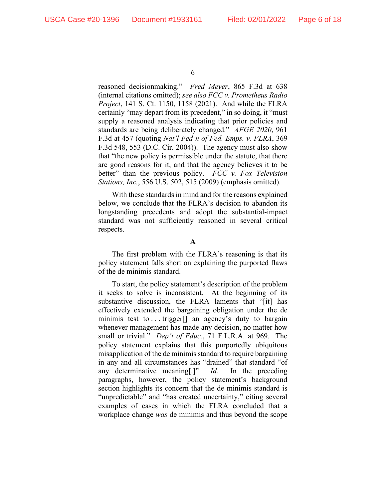reasoned decisionmaking." *Fred Meyer*, 865 F.3d at 638 (internal citations omitted); *see also FCC v. Prometheus Radio Project*, 141 S. Ct. 1150, 1158 (2021). And while the FLRA certainly "may depart from its precedent," in so doing, it "must supply a reasoned analysis indicating that prior policies and standards are being deliberately changed." *AFGE 2020*, 961 F.3d at 457 (quoting *Nat'l Fed'n of Fed. Emps. v. FLRA*, 369 F.3d 548, 553 (D.C. Cir. 2004)). The agency must also show that "the new policy is permissible under the statute, that there are good reasons for it, and that the agency believes it to be better" than the previous policy. *FCC v. Fox Television Stations, Inc.*, 556 U.S. 502, 515 (2009) (emphasis omitted).

With these standards in mind and for the reasons explained below, we conclude that the FLRA's decision to abandon its longstanding precedents and adopt the substantial-impact standard was not sufficiently reasoned in several critical respects.

The first problem with the FLRA's reasoning is that its policy statement falls short on explaining the purported flaws of the de minimis standard.

To start, the policy statement's description of the problem it seeks to solve is inconsistent. At the beginning of its substantive discussion, the FLRA laments that "[it] has effectively extended the bargaining obligation under the de minimis test to ... trigger<sup>[]</sup> an agency's duty to bargain whenever management has made any decision, no matter how small or trivial." *Dep't of Educ.*, 71 F.L.R.A. at 969. The policy statement explains that this purportedly ubiquitous misapplication of the de minimis standard to require bargaining in any and all circumstances has "drained" that standard "of any determinative meaning[.]" *Id.* In the preceding paragraphs, however, the policy statement's background section highlights its concern that the de minimis standard is "unpredictable" and "has created uncertainty," citing several examples of cases in which the FLRA concluded that a workplace change *was* de minimis and thus beyond the scope

**A**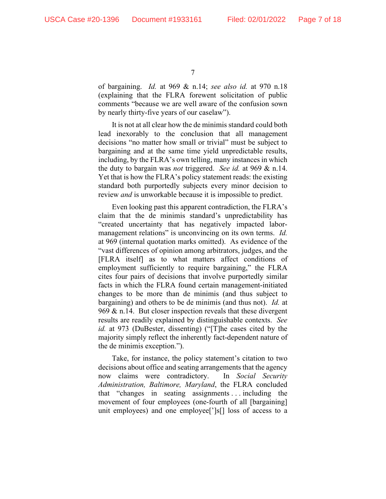of bargaining. *Id.* at 969 & n.14; *see also id.* at 970 n.18 (explaining that the FLRA forewent solicitation of public comments "because we are well aware of the confusion sown by nearly thirty-five years of our caselaw").

It is not at all clear how the de minimis standard could both lead inexorably to the conclusion that all management decisions "no matter how small or trivial" must be subject to bargaining and at the same time yield unpredictable results, including, by the FLRA's own telling, many instances in which the duty to bargain was *not* triggered. *See id.* at 969 & n.14. Yet that is how the FLRA's policy statement reads: the existing standard both purportedly subjects every minor decision to review *and* is unworkable because it is impossible to predict.

Even looking past this apparent contradiction, the FLRA's claim that the de minimis standard's unpredictability has "created uncertainty that has negatively impacted labormanagement relations" is unconvincing on its own terms. *Id.* at 969 (internal quotation marks omitted). As evidence of the "vast differences of opinion among arbitrators, judges, and the [FLRA itself] as to what matters affect conditions of employment sufficiently to require bargaining," the FLRA cites four pairs of decisions that involve purportedly similar facts in which the FLRA found certain management-initiated changes to be more than de minimis (and thus subject to bargaining) and others to be de minimis (and thus not). *Id.* at 969 & n.14. But closer inspection reveals that these divergent results are readily explained by distinguishable contexts. *See id.* at 973 (DuBester, dissenting) ("[T]he cases cited by the majority simply reflect the inherently fact-dependent nature of the de minimis exception.").

Take, for instance, the policy statement's citation to two decisions about office and seating arrangements that the agency now claims were contradictory. In *Social Security Administration, Baltimore, Maryland*, the FLRA concluded that "changes in seating assignments . . . including the movement of four employees (one-fourth of all [bargaining] unit employees) and one employee[']s[] loss of access to a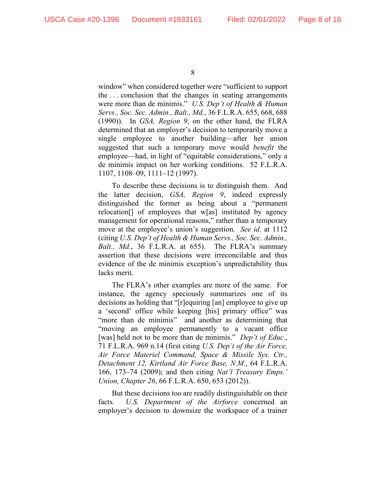window" when considered together were "sufficient to support the . . . conclusion that the changes in seating arrangements were more than de minimis." *U.S. Dep't of Health & Human Servs., Soc. Sec. Admin., Balt., Md.*, 36 F.L.R.A. 655, 668, 688 (1990)). In *GSA, Region 9*, on the other hand, the FLRA determined that an employer's decision to temporarily move a single employee to another building—after her union suggested that such a temporary move would *benefit* the employee—had, in light of "equitable considerations," only a de minimis impact on her working conditions. 52 F.L.R.A. 1107, 1108–09, 1111–12 (1997).

To describe these decisions is to distinguish them. And the latter decision, *GSA, Region 9*, indeed expressly distinguished the former as being about a "permanent relocation[] of employees that w[as] instituted by agency management for operational reasons," rather than a temporary move at the employee's union's suggestion. *See id.* at 1112 (citing *U.S. Dep't of Health & Human Servs., Soc. Sec. Admin., Balt., Md.*, 36 F.L.R.A. at 655). The FLRA's summary assertion that these decisions were irreconcilable and thus evidence of the de minimis exception's unpredictability thus lacks merit.

The FLRA's other examples are more of the same. For instance, the agency speciously summarizes one of its decisions as holding that "[r]equiring [an] employee to give up a 'second' office while keeping [his] primary office" was "more than de minimis" and another as determining that "moving an employee permanently to a vacant office [was] held not to be more than de minimis." *Dep't of Educ.*, 71 F.L.R.A. 969 n.14 (first citing *U.S. Dep't of the Air Force, Air Force Materiel Command, Space & Missile Sys. Ctr., Detachment 12, Kirtland Air Force Base, N.M.*, 64 F.L.R.A. 166, 173–74 (2009); and then citing *Nat'l Treasury Emps.' Union, Chapter 26*, 66 F.L.R.A. 650, 653 (2012)).

But these decisions too are readily distinguishable on their facts. *U.S. Department of the Airforce* concerned an employer's decision to downsize the workspace of a trainer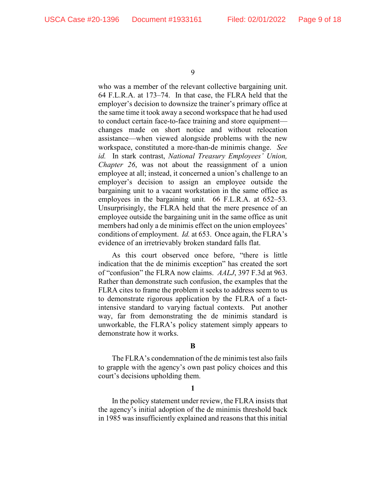who was a member of the relevant collective bargaining unit. 64 F.L.R.A. at 173–74. In that case, the FLRA held that the employer's decision to downsize the trainer's primary office at the same time it took away a second workspace that he had used to conduct certain face-to-face training and store equipment changes made on short notice and without relocation assistance—when viewed alongside problems with the new workspace, constituted a more-than-de minimis change. *See id.* In stark contrast, *National Treasury Employees' Union, Chapter 26*, was not about the reassignment of a union employee at all; instead, it concerned a union's challenge to an employer's decision to assign an employee outside the bargaining unit to a vacant workstation in the same office as employees in the bargaining unit. 66 F.L.R.A. at 652–53*.* Unsurprisingly, the FLRA held that the mere presence of an employee outside the bargaining unit in the same office as unit members had only a de minimis effect on the union employees' conditions of employment. *Id.* at 653. Once again, the FLRA's evidence of an irretrievably broken standard falls flat.

As this court observed once before, "there is little indication that the de minimis exception" has created the sort of "confusion" the FLRA now claims. *AALJ*, 397 F.3d at 963. Rather than demonstrate such confusion, the examples that the FLRA cites to frame the problem it seeks to address seem to us to demonstrate rigorous application by the FLRA of a factintensive standard to varying factual contexts. Put another way, far from demonstrating the de minimis standard is unworkable, the FLRA's policy statement simply appears to demonstrate how it works.

#### **B**

The FLRA's condemnation of the de minimistest also fails to grapple with the agency's own past policy choices and this court's decisions upholding them.

### **1**

In the policy statement under review, the FLRA insists that the agency's initial adoption of the de minimis threshold back in 1985 was insufficiently explained and reasons that this initial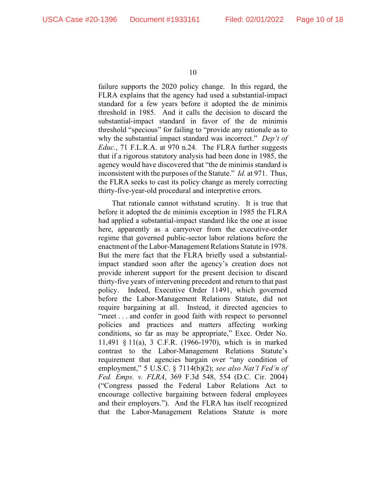failure supports the 2020 policy change. In this regard, the FLRA explains that the agency had used a substantial-impact standard for a few years before it adopted the de minimis threshold in 1985. And it calls the decision to discard the substantial-impact standard in favor of the de minimis threshold "specious" for failing to "provide any rationale as to why the substantial impact standard was incorrect." *Dep't of Educ.*, 71 F.L.R.A. at 970 n.24. The FLRA further suggests that if a rigorous statutory analysis had been done in 1985, the agency would have discovered that "the de minimis standard is inconsistent with the purposes of the Statute." *Id.* at 971. Thus, the FLRA seeks to cast its policy change as merely correcting thirty-five-year-old procedural and interpretive errors.

That rationale cannot withstand scrutiny. It is true that before it adopted the de minimis exception in 1985 the FLRA had applied a substantial-impact standard like the one at issue here, apparently as a carryover from the executive-order regime that governed public-sector labor relations before the enactment of the Labor-Management Relations Statute in 1978. But the mere fact that the FLRA briefly used a substantialimpact standard soon after the agency's creation does not provide inherent support for the present decision to discard thirty-five years of intervening precedent and return to that past policy. Indeed, Executive Order 11491, which governed before the Labor-Management Relations Statute, did not require bargaining at all. Instead, it directed agencies to "meet . . . and confer in good faith with respect to personnel policies and practices and matters affecting working conditions, so far as may be appropriate," Exec. Order No. 11,491 § 11(a), 3 C.F.R. (1966-1970), which is in marked contrast to the Labor-Management Relations Statute's requirement that agencies bargain over "any condition of employment," 5 U.S.C. § 7114(b)(2); *see also Nat'l Fed'n of Fed. Emps. v. FLRA*, 369 F.3d 548, 554 (D.C. Cir. 2004) ("Congress passed the Federal Labor Relations Act to encourage collective bargaining between federal employees and their employers."). And the FLRA has itself recognized that the Labor-Management Relations Statute is more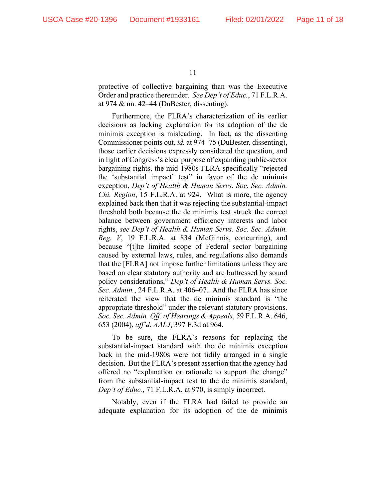protective of collective bargaining than was the Executive Order and practice thereunder. *See Dep't of Educ.*, 71 F.L.R.A. at 974 & nn. 42–44 (DuBester, dissenting).

Furthermore, the FLRA's characterization of its earlier decisions as lacking explanation for its adoption of the de minimis exception is misleading. In fact, as the dissenting Commissioner points out, *id.* at 974–75 (DuBester, dissenting), those earlier decisions expressly considered the question, and in light of Congress's clear purpose of expanding public-sector bargaining rights, the mid-1980s FLRA specifically "rejected the 'substantial impact' test" in favor of the de minimis exception, *Dep't of Health & Human Servs. Soc. Sec. Admin. Chi. Region*, 15 F.L.R.A. at 924. What is more, the agency explained back then that it was rejecting the substantial-impact threshold both because the de minimis test struck the correct balance between government efficiency interests and labor rights, *see Dep't of Health & Human Servs. Soc. Sec. Admin. Reg. V*, 19 F.L.R.A. at 834 (McGinnis, concurring), and because "[t]he limited scope of Federal sector bargaining caused by external laws, rules, and regulations also demands that the [FLRA] not impose further limitations unless they are based on clear statutory authority and are buttressed by sound policy considerations," *Dep't of Health & Human Servs. Soc. Sec. Admin.*, 24 F.L.R.A. at 406–07. And the FLRA has since reiterated the view that the de minimis standard is "the appropriate threshold" under the relevant statutory provisions. *Soc. Sec. Admin. Off. of Hearings & Appeals*, 59 F.L.R.A. 646, 653 (2004), *aff'd*, *AALJ*, 397 F.3d at 964.

To be sure, the FLRA's reasons for replacing the substantial-impact standard with the de minimis exception back in the mid-1980s were not tidily arranged in a single decision. But the FLRA's present assertion that the agency had offered no "explanation or rationale to support the change" from the substantial-impact test to the de minimis standard, *Dep't of Educ.*, 71 F.L.R.A. at 970, is simply incorrect.

Notably, even if the FLRA had failed to provide an adequate explanation for its adoption of the de minimis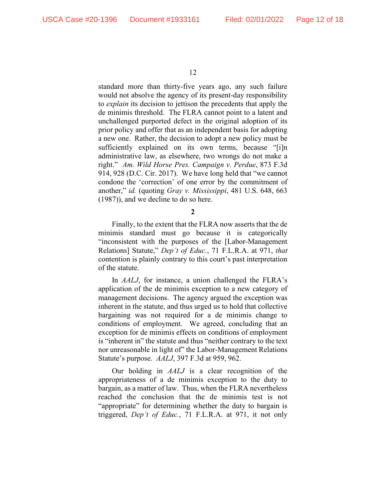standard more than thirty-five years ago, any such failure would not absolve the agency of its present-day responsibility to *explain* its decision to jettison the precedents that apply the de minimis threshold. The FLRA cannot point to a latent and unchallenged purported defect in the original adoption of its prior policy and offer that as an independent basis for adopting a new one. Rather, the decision to adopt a new policy must be sufficiently explained on its own terms, because "[i]n administrative law, as elsewhere, two wrongs do not make a right." *Am. Wild Horse Pres. Campaign v. Perdue*, 873 F.3d 914, 928 (D.C. Cir. 2017). We have long held that "we cannot condone the 'correction' of one error by the commitment of another," *id.* (quoting *Gray v. Mississippi*, 481 U.S. 648, 663 (1987)), and we decline to do so here.

Finally, to the extent that the FLRA now asserts that the de minimis standard must go because it is categorically "inconsistent with the purposes of the [Labor-Management Relations] Statute," *Dep't of Educ.*, 71 F.L.R.A. at 971, *that* contention is plainly contrary to this court's past interpretation of the statute.

In *AALJ*, for instance, a union challenged the FLRA's application of the de minimis exception to a new category of management decisions. The agency argued the exception was inherent in the statute, and thus urged us to hold that collective bargaining was not required for a de minimis change to conditions of employment. We agreed, concluding that an exception for de minimis effects on conditions of employment is "inherent in" the statute and thus "neither contrary to the text nor unreasonable in light of" the Labor-Management Relations Statute's purpose. *AALJ*, 397 F.3d at 959, 962.

Our holding in *AALJ* is a clear recognition of the appropriateness of a de minimis exception to the duty to bargain, as a matter of law. Thus, when the FLRA nevertheless reached the conclusion that the de minimis test is not "appropriate" for determining whether the duty to bargain is triggered, *Dep't of Educ.*, 71 F.L.R.A. at 971, it not only

**<sup>2</sup>**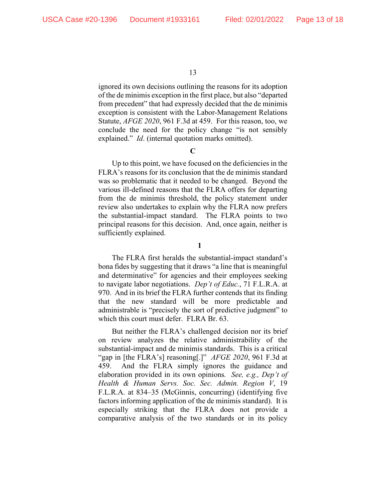ignored its own decisions outlining the reasons for its adoption of the de minimis exception in the first place, but also "departed from precedent" that had expressly decided that the de minimis exception is consistent with the Labor-Management Relations Statute, *AFGE 2020*, 961 F.3d at 459. For this reason, too, we conclude the need for the policy change "is not sensibly explained." *Id*. (internal quotation marks omitted).

#### **C**

Up to this point, we have focused on the deficiencies in the FLRA's reasons for its conclusion that the de minimis standard was so problematic that it needed to be changed. Beyond the various ill-defined reasons that the FLRA offers for departing from the de minimis threshold, the policy statement under review also undertakes to explain why the FLRA now prefers the substantial-impact standard. The FLRA points to two principal reasons for this decision. And, once again, neither is sufficiently explained.

The FLRA first heralds the substantial-impact standard's bona fides by suggesting that it draws "a line that is meaningful and determinative" for agencies and their employees seeking to navigate labor negotiations. *Dep't of Educ.*, 71 F.L.R.A. at 970. And in its brief the FLRA further contends that its finding that the new standard will be more predictable and administrable is "precisely the sort of predictive judgment" to which this court must defer. FLRA Br. 63.

But neither the FLRA's challenged decision nor its brief on review analyzes the relative administrability of the substantial-impact and de minimis standards. This is a critical "gap in [the FLRA's] reasoning[.]" *AFGE 2020*, 961 F.3d at 459. And the FLRA simply ignores the guidance and elaboration provided in its own opinions*. See, e.g., Dep't of Health & Human Servs. Soc. Sec. Admin. Region V*, 19 F.L.R.A. at 834–35 (McGinnis, concurring) (identifying five factors informing application of the de minimis standard). It is especially striking that the FLRA does not provide a comparative analysis of the two standards or in its policy

**<sup>1</sup>**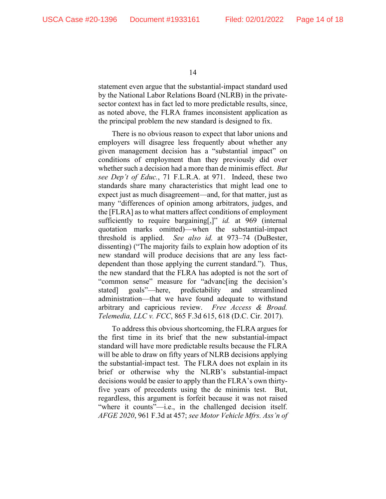statement even argue that the substantial-impact standard used by the National Labor Relations Board (NLRB) in the privatesector context has in fact led to more predictable results, since, as noted above, the FLRA frames inconsistent application as the principal problem the new standard is designed to fix.

There is no obvious reason to expect that labor unions and employers will disagree less frequently about whether any given management decision has a "substantial impact" on conditions of employment than they previously did over whether such a decision had a more than de minimis effect. *But see Dep't of Educ.*, 71 F.L.R.A. at 971. Indeed, these two standards share many characteristics that might lead one to expect just as much disagreement—and, for that matter, just as many "differences of opinion among arbitrators, judges, and the [FLRA] as to what matters affect conditions of employment sufficiently to require bargaining[,]" *id.* at 969 (internal quotation marks omitted)—when the substantial-impact threshold is applied. *See also id.* at 973–74 (DuBester, dissenting) ("The majority fails to explain how adoption of its new standard will produce decisions that are any less factdependent than those applying the current standard."). Thus, the new standard that the FLRA has adopted is not the sort of "common sense" measure for "advanc[ing the decision's stated] goals"—here, predictability and streamlined administration—that we have found adequate to withstand arbitrary and capricious review. *Free Access & Broad. Telemedia, LLC v. FCC*, 865 F.3d 615, 618 (D.C. Cir. 2017).

To address this obvious shortcoming, the FLRA argues for the first time in its brief that the new substantial-impact standard will have more predictable results because the FLRA will be able to draw on fifty years of NLRB decisions applying the substantial-impact test. The FLRA does not explain in its brief or otherwise why the NLRB's substantial-impact decisions would be easier to apply than the FLRA's own thirtyfive years of precedents using the de minimis test. But, regardless, this argument is forfeit because it was not raised "where it counts"—i.e., in the challenged decision itself. *AFGE 2020*, 961 F.3d at 457; *see Motor Vehicle Mfrs. Ass'n of*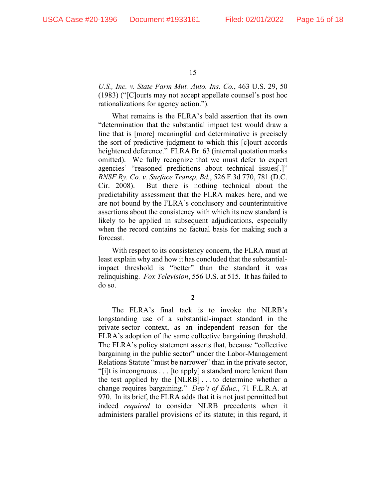*U.S., Inc. v. State Farm Mut. Auto. Ins. Co.*, 463 U.S. 29, 50 (1983) ("[C]ourts may not accept appellate counsel's post hoc rationalizations for agency action.").

What remains is the FLRA's bald assertion that its own "determination that the substantial impact test would draw a line that is [more] meaningful and determinative is precisely the sort of predictive judgment to which this [c]ourt accords heightened deference." FLRA Br. 63 (internal quotation marks omitted). We fully recognize that we must defer to expert agencies' "reasoned predictions about technical issues[.]" *BNSF Ry. Co. v. Surface Transp. Bd.*, 526 F.3d 770, 781 (D.C. Cir. 2008). But there is nothing technical about the predictability assessment that the FLRA makes here, and we are not bound by the FLRA's conclusory and counterintuitive assertions about the consistency with which its new standard is likely to be applied in subsequent adjudications, especially when the record contains no factual basis for making such a forecast.

With respect to its consistency concern, the FLRA must at least explain why and how it has concluded that the substantialimpact threshold is "better" than the standard it was relinquishing. *Fox Television*, 556 U.S. at 515. It has failed to do so.

**2**

The FLRA's final tack is to invoke the NLRB's longstanding use of a substantial-impact standard in the private-sector context, as an independent reason for the FLRA's adoption of the same collective bargaining threshold. The FLRA's policy statement asserts that, because "collective bargaining in the public sector" under the Labor-Management Relations Statute "must be narrower" than in the private sector, "[i]t is incongruous . . . [to apply] a standard more lenient than the test applied by the [NLRB] . . . to determine whether a change requires bargaining." *Dep't of Educ.*, 71 F.L.R.A. at 970. In its brief, the FLRA adds that it is not just permitted but indeed *required* to consider NLRB precedents when it administers parallel provisions of its statute; in this regard, it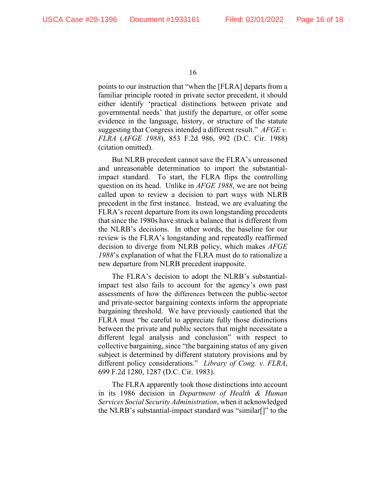points to our instruction that "when the [FLRA] departs from a familiar principle rooted in private sector precedent, it should either identify 'practical distinctions between private and governmental needs' that justify the departure, or offer some evidence in the language, history, or structure of the statute suggesting that Congress intended a different result." *AFGE v. FLRA* (*AFGE 1988*), 853 F.2d 986, 992 (D.C. Cir. 1988) (citation omitted).

But NLRB precedent cannot save the FLRA's unreasoned and unreasonable determination to import the substantialimpact standard. To start, the FLRA flips the controlling question on its head. Unlike in *AFGE 1988*, we are not being called upon to review a decision to part ways with NLRB precedent in the first instance. Instead, we are evaluating the FLRA's recent departure from its own longstanding precedents that since the 1980s have struck a balance that is different from the NLRB's decisions. In other words, the baseline for our review is the FLRA's longstanding and repeatedly reaffirmed decision to diverge from NLRB policy, which makes *AFGE 1988*'s explanation of what the FLRA must do to rationalize a new departure from NLRB precedent inapposite.

The FLRA's decision to adopt the NLRB's substantialimpact test also fails to account for the agency's own past assessments of how the differences between the public-sector and private-sector bargaining contexts inform the appropriate bargaining threshold. We have previously cautioned that the FLRA must "be careful to appreciate fully those distinctions between the private and public sectors that might necessitate a different legal analysis and conclusion" with respect to collective bargaining, since "the bargaining status of any given subject is determined by different statutory provisions and by different policy considerations." *Library of Cong. v. FLRA*, 699 F.2d 1280, 1287 (D.C. Cir. 1983).

The FLRA apparently took those distinctions into account in its 1986 decision in *Department of Health & Human Services Social Security Administration*, when it acknowledged the NLRB's substantial-impact standard was "similar[]" to the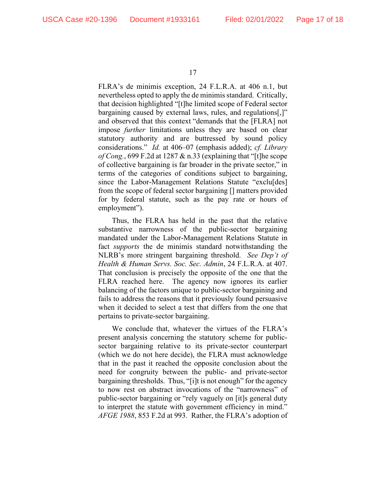FLRA's de minimis exception, 24 F.L.R.A. at 406 n.1, but nevertheless opted to apply the de minimis standard. Critically, that decision highlighted "[t]he limited scope of Federal sector bargaining caused by external laws, rules, and regulations[,]" and observed that this context "demands that the [FLRA] not impose *further* limitations unless they are based on clear statutory authority and are buttressed by sound policy considerations." *Id.* at 406–07 (emphasis added); *cf. Library of Cong.*, 699 F.2d at 1287 & n.33 (explaining that "[t]he scope of collective bargaining is far broader in the private sector," in terms of the categories of conditions subject to bargaining, since the Labor-Management Relations Statute "exclu[des] from the scope of federal sector bargaining [] matters provided for by federal statute, such as the pay rate or hours of employment").

Thus, the FLRA has held in the past that the relative substantive narrowness of the public-sector bargaining mandated under the Labor-Management Relations Statute in fact *supports* the de minimis standard notwithstanding the NLRB's more stringent bargaining threshold. *See Dep't of Health & Human Servs. Soc. Sec. Admin*, 24 F.L.R.A. at 407. That conclusion is precisely the opposite of the one that the FLRA reached here. The agency now ignores its earlier balancing of the factors unique to public-sector bargaining and fails to address the reasons that it previously found persuasive when it decided to select a test that differs from the one that pertains to private-sector bargaining.

We conclude that, whatever the virtues of the FLRA's present analysis concerning the statutory scheme for publicsector bargaining relative to its private-sector counterpart (which we do not here decide), the FLRA must acknowledge that in the past it reached the opposite conclusion about the need for congruity between the public- and private-sector bargaining thresholds. Thus, "[i]t is not enough" for the agency to now rest on abstract invocations of the "narrowness" of public-sector bargaining or "rely vaguely on [it]s general duty to interpret the statute with government efficiency in mind." *AFGE 1988*, 853 F.2d at 993. Rather, the FLRA's adoption of